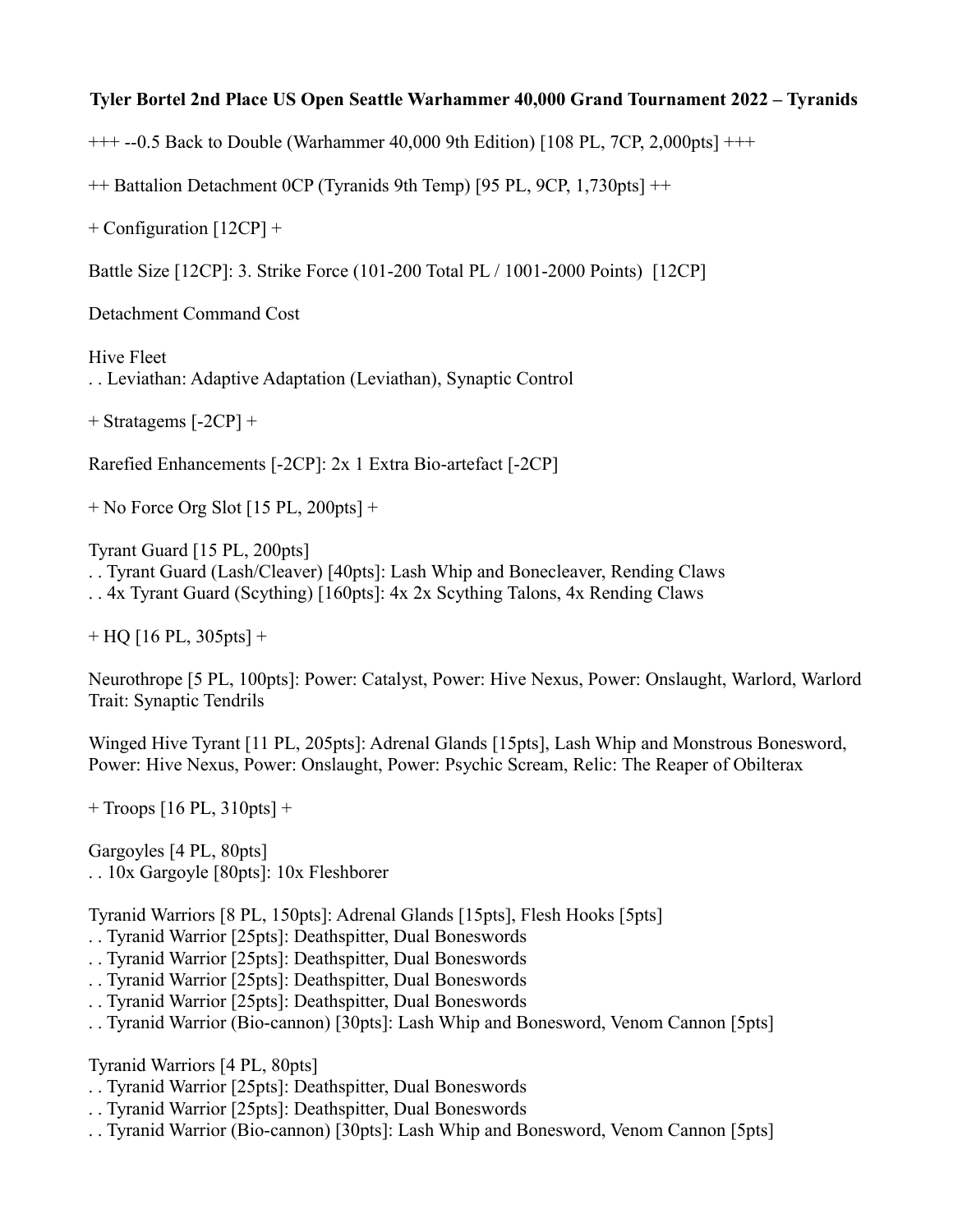## **Tyler Bortel 2nd Place US Open Seattle Warhammer 40,000 Grand Tournament 2022 – Tyranids**

+++ --0.5 Back to Double (Warhammer 40,000 9th Edition) [108 PL, 7CP, 2,000pts] +++

++ Battalion Detachment 0CP (Tyranids 9th Temp) [95 PL, 9CP, 1,730pts] ++

+ Configuration [12CP] +

Battle Size [12CP]: 3. Strike Force (101-200 Total PL / 1001-2000 Points) [12CP]

Detachment Command Cost

Hive Fleet . . Leviathan: Adaptive Adaptation (Leviathan), Synaptic Control

+ Stratagems [-2CP] +

Rarefied Enhancements [-2CP]: 2x 1 Extra Bio-artefact [-2CP]

 $+$  No Force Org Slot [15 PL, 200pts]  $+$ 

Tyrant Guard [15 PL, 200pts]

. . Tyrant Guard (Lash/Cleaver) [40pts]: Lash Whip and Bonecleaver, Rending Claws

. . 4x Tyrant Guard (Scything) [160pts]: 4x 2x Scything Talons, 4x Rending Claws

 $+$  HQ [16 PL, 305pts] +

Neurothrope [5 PL, 100pts]: Power: Catalyst, Power: Hive Nexus, Power: Onslaught, Warlord, Warlord Trait: Synaptic Tendrils

Winged Hive Tyrant [11 PL, 205pts]: Adrenal Glands [15pts], Lash Whip and Monstrous Bonesword, Power: Hive Nexus, Power: Onslaught, Power: Psychic Scream, Relic: The Reaper of Obilterax

 $+$  Troops [16 PL, 310pts]  $+$ 

Gargoyles [4 PL, 80pts] . . 10x Gargoyle [80pts]: 10x Fleshborer

Tyranid Warriors [8 PL, 150pts]: Adrenal Glands [15pts], Flesh Hooks [5pts]

. . Tyranid Warrior [25pts]: Deathspitter, Dual Boneswords

. . Tyranid Warrior [25pts]: Deathspitter, Dual Boneswords

- . . Tyranid Warrior [25pts]: Deathspitter, Dual Boneswords
- . . Tyranid Warrior [25pts]: Deathspitter, Dual Boneswords
- . . Tyranid Warrior (Bio-cannon) [30pts]: Lash Whip and Bonesword, Venom Cannon [5pts]

Tyranid Warriors [4 PL, 80pts]

- . . Tyranid Warrior [25pts]: Deathspitter, Dual Boneswords
- . . Tyranid Warrior [25pts]: Deathspitter, Dual Boneswords
- . . Tyranid Warrior (Bio-cannon) [30pts]: Lash Whip and Bonesword, Venom Cannon [5pts]